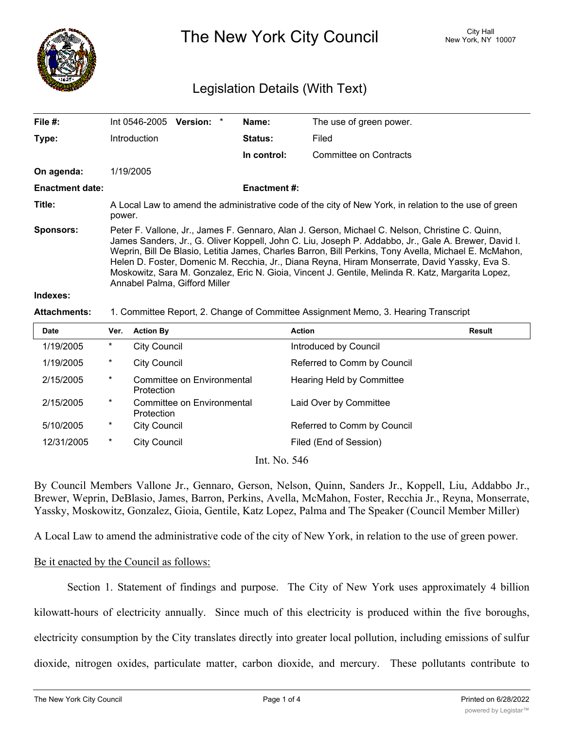

The New York City Council New York, NY 10007

# Legislation Details (With Text)

| File #:                | Int 0546-2005                                                                                                                                                                                                                                                                                                                                                                                                                                                                                                                                           | Version: * |  | Name:               | The use of green power. |  |  |
|------------------------|---------------------------------------------------------------------------------------------------------------------------------------------------------------------------------------------------------------------------------------------------------------------------------------------------------------------------------------------------------------------------------------------------------------------------------------------------------------------------------------------------------------------------------------------------------|------------|--|---------------------|-------------------------|--|--|
| Type:                  | Introduction                                                                                                                                                                                                                                                                                                                                                                                                                                                                                                                                            |            |  | <b>Status:</b>      | Filed                   |  |  |
|                        |                                                                                                                                                                                                                                                                                                                                                                                                                                                                                                                                                         |            |  | In control:         | Committee on Contracts  |  |  |
| On agenda:             | 1/19/2005                                                                                                                                                                                                                                                                                                                                                                                                                                                                                                                                               |            |  |                     |                         |  |  |
| <b>Enactment date:</b> |                                                                                                                                                                                                                                                                                                                                                                                                                                                                                                                                                         |            |  | <b>Enactment #:</b> |                         |  |  |
| Title:                 | A Local Law to amend the administrative code of the city of New York, in relation to the use of green<br>power.                                                                                                                                                                                                                                                                                                                                                                                                                                         |            |  |                     |                         |  |  |
| <b>Sponsors:</b>       | Peter F. Vallone, Jr., James F. Gennaro, Alan J. Gerson, Michael C. Nelson, Christine C. Quinn,<br>James Sanders, Jr., G. Oliver Koppell, John C. Liu, Joseph P. Addabbo, Jr., Gale A. Brewer, David I.<br>Weprin, Bill De Blasio, Letitia James, Charles Barron, Bill Perkins, Tony Avella, Michael E. McMahon,<br>Helen D. Foster, Domenic M. Recchia, Jr., Diana Reyna, Hiram Monserrate, David Yassky, Eva S.<br>Moskowitz, Sara M. Gonzalez, Eric N. Gioia, Vincent J. Gentile, Melinda R. Katz, Margarita Lopez,<br>Annabel Palma, Gifford Miller |            |  |                     |                         |  |  |
| Indexes:               |                                                                                                                                                                                                                                                                                                                                                                                                                                                                                                                                                         |            |  |                     |                         |  |  |

#### **Attachments:** 1. Committee Report, 2. Change of Committee Assignment Memo, 3. Hearing Transcript

| <b>Date</b> | Ver.     | <b>Action By</b>                         | <b>Action</b>               | Result |
|-------------|----------|------------------------------------------|-----------------------------|--------|
| 1/19/2005   | $^\star$ | <b>City Council</b>                      | Introduced by Council       |        |
| 1/19/2005   | $\ast$   | <b>City Council</b>                      | Referred to Comm by Council |        |
| 2/15/2005   | $^\star$ | Committee on Environmental<br>Protection | Hearing Held by Committee   |        |
| 2/15/2005   | $\ast$   | Committee on Environmental<br>Protection | Laid Over by Committee      |        |
| 5/10/2005   | $\ast$   | City Council                             | Referred to Comm by Council |        |
| 12/31/2005  | $\ast$   | <b>City Council</b>                      | Filed (End of Session)      |        |
|             |          |                                          | Int No. $5/6$               |        |

Int. No. 546

By Council Members Vallone Jr., Gennaro, Gerson, Nelson, Quinn, Sanders Jr., Koppell, Liu, Addabbo Jr., Brewer, Weprin, DeBlasio, James, Barron, Perkins, Avella, McMahon, Foster, Recchia Jr., Reyna, Monserrate, Yassky, Moskowitz, Gonzalez, Gioia, Gentile, Katz Lopez, Palma and The Speaker (Council Member Miller)

A Local Law to amend the administrative code of the city of New York, in relation to the use of green power.

### Be it enacted by the Council as follows:

Section 1. Statement of findings and purpose. The City of New York uses approximately 4 billion kilowatt-hours of electricity annually. Since much of this electricity is produced within the five boroughs, electricity consumption by the City translates directly into greater local pollution, including emissions of sulfur dioxide, nitrogen oxides, particulate matter, carbon dioxide, and mercury. These pollutants contribute to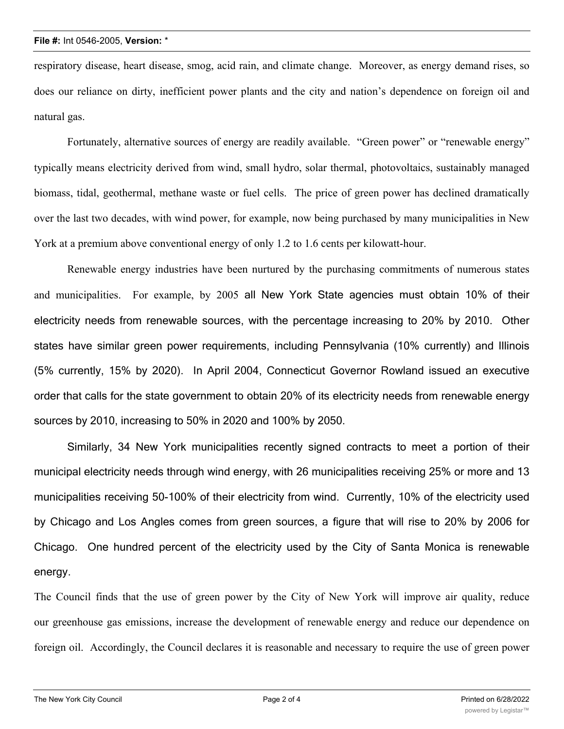respiratory disease, heart disease, smog, acid rain, and climate change. Moreover, as energy demand rises, so does our reliance on dirty, inefficient power plants and the city and nation's dependence on foreign oil and natural gas.

Fortunately, alternative sources of energy are readily available. "Green power" or "renewable energy" typically means electricity derived from wind, small hydro, solar thermal, photovoltaics, sustainably managed biomass, tidal, geothermal, methane waste or fuel cells. The price of green power has declined dramatically over the last two decades, with wind power, for example, now being purchased by many municipalities in New York at a premium above conventional energy of only 1.2 to 1.6 cents per kilowatt-hour.

Renewable energy industries have been nurtured by the purchasing commitments of numerous states and municipalities. For example, by 2005 all New York State agencies must obtain 10% of their electricity needs from renewable sources, with the percentage increasing to 20% by 2010. Other states have similar green power requirements, including Pennsylvania (10% currently) and Illinois (5% currently, 15% by 2020). In April 2004, Connecticut Governor Rowland issued an executive order that calls for the state government to obtain 20% of its electricity needs from renewable energy sources by 2010, increasing to 50% in 2020 and 100% by 2050.

Similarly, 34 New York municipalities recently signed contracts to meet a portion of their municipal electricity needs through wind energy, with 26 municipalities receiving 25% or more and 13 municipalities receiving 50-100% of their electricity from wind. Currently, 10% of the electricity used by Chicago and Los Angles comes from green sources, a figure that will rise to 20% by 2006 for Chicago. One hundred percent of the electricity used by the City of Santa Monica is renewable energy.

The Council finds that the use of green power by the City of New York will improve air quality, reduce our greenhouse gas emissions, increase the development of renewable energy and reduce our dependence on foreign oil. Accordingly, the Council declares it is reasonable and necessary to require the use of green power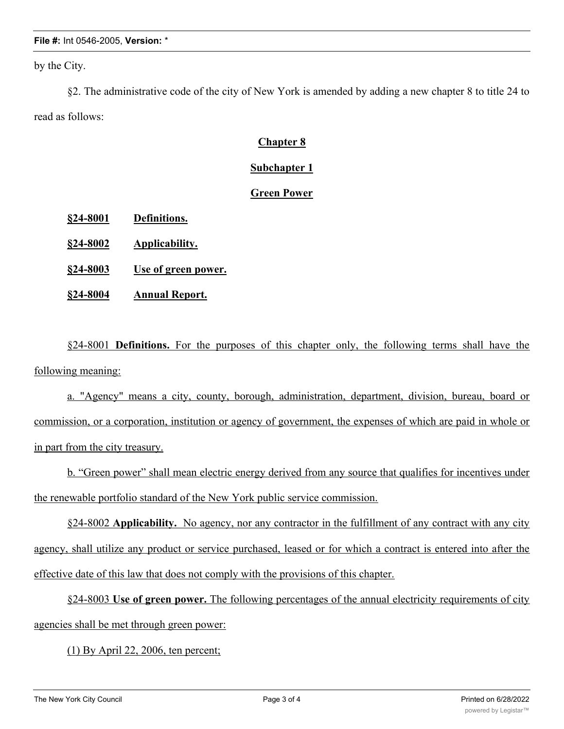#### **File #:** Int 0546-2005, **Version:** \*

by the City.

§2. The administrative code of the city of New York is amended by adding a new chapter 8 to title 24 to read as follows:

# **Chapter 8**

### **Subchapter 1**

## **Green Power**

- **§24-8001 Definitions.**
- **§24-8002 Applicability.**
- **§24-8003 Use of green power.**
- **§24-8004 Annual Report.**

§24-8001 **Definitions.** For the purposes of this chapter only, the following terms shall have the following meaning:

a. "Agency" means a city, county, borough, administration, department, division, bureau, board or commission, or a corporation, institution or agency of government, the expenses of which are paid in whole or in part from the city treasury.

b. "Green power" shall mean electric energy derived from any source that qualifies for incentives under the renewable portfolio standard of the New York public service commission.

§24-8002 **Applicability.** No agency, nor any contractor in the fulfillment of any contract with any city agency, shall utilize any product or service purchased, leased or for which a contract is entered into after the effective date of this law that does not comply with the provisions of this chapter.

§24-8003 **Use of green power.** The following percentages of the annual electricity requirements of city agencies shall be met through green power:

(1) By April 22, 2006, ten percent;